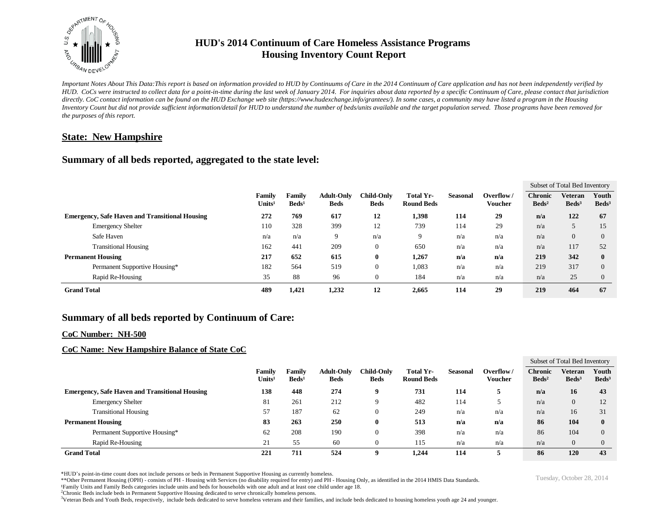

# **HUD's 2014 Continuum of Care Homeless Assistance Programs Housing Inventory Count Report**

*Important Notes About This Data:This report is based on information provided to HUD by Continuums of Care in the 2014 Continuum of Care application and has not been independently verified by HUD. CoCs were instructed to collect data for a point-in-time during the last week of January 2014. For inquiries about data reported by a specific Continuum of Care, please contact that jurisdiction*  directly. CoC contact information can be found on the HUD Exchange web site (https://www.hudexchange.info/grantees/). In some cases, a community may have listed a program in the Housing *Inventory Count but did not provide sufficient information/detail for HUD to understand the number of beds/units available and the target population served. Those programs have been removed for the purposes of this report.*

### **State: New Hampshire**

### **Summary of all beds reported, aggregated to the state level:**

|                                                       |                               |                              |                           |                                  |                                  |                                       |                 |                      | Subset of Total Bed Inventory     |                                   |                          |
|-------------------------------------------------------|-------------------------------|------------------------------|---------------------------|----------------------------------|----------------------------------|---------------------------------------|-----------------|----------------------|-----------------------------------|-----------------------------------|--------------------------|
|                                                       |                               | Family<br>Units <sup>1</sup> | Familv<br>$\text{Beds}^1$ | <b>Adult-Only</b><br><b>Beds</b> | <b>Child-Only</b><br><b>Beds</b> | <b>Total Yr-</b><br><b>Round Beds</b> | <b>Seasonal</b> | Overflow/<br>Voucher | <b>Chronic</b><br>$\text{Beds}^2$ | <b>Veteran</b><br>$\text{Beds}^3$ | Youth<br>$\text{Beds}^3$ |
| <b>Emergency, Safe Haven and Transitional Housing</b> |                               | 272                          | 769                       | 617                              | 12                               | 1,398                                 | 114             | 29                   | n/a                               | 122                               | 67                       |
|                                                       | <b>Emergency Shelter</b>      | 110                          | 328                       | 399                              | 12                               | 739                                   | 114             | 29                   | n/a                               |                                   | 15                       |
|                                                       | Safe Haven                    | n/a                          | n/a                       | 9                                | n/a                              | 9                                     | n/a             | n/a                  | n/a                               | $\overline{0}$                    | $\Omega$                 |
|                                                       | <b>Transitional Housing</b>   | 162                          | 441                       | 209                              | $\boldsymbol{0}$                 | 650                                   | n/a             | n/a                  | n/a                               | 117                               | 52                       |
| <b>Permanent Housing</b>                              |                               | 217                          | 652                       | 615                              | $\bf{0}$                         | 1,267                                 | n/a             | n/a                  | 219                               | 342                               | $\mathbf{0}$             |
|                                                       | Permanent Supportive Housing* | 182                          | 564                       | 519                              | $\mathbf{0}$                     | 1,083                                 | n/a             | n/a                  | 219                               | 317                               | $\theta$                 |
|                                                       | Rapid Re-Housing              | 35                           | 88                        | 96                               | $\mathbf{0}$                     | 184                                   | n/a             | n/a                  | n/a                               | 25                                | $\theta$                 |
| <b>Grand Total</b>                                    |                               | 489                          | 1,421                     | 1,232                            | 12                               | 2,665                                 | 114             | 29                   | 219                               | 464                               | 67                       |

## **Summary of all beds reported by Continuum of Care:**

#### **CoC Number: NH-500**

### **CoC Name: New Hampshire Balance of State CoC**

|                                                       |                              |                                    |                                  |                                  |                                |          |                      | Subset of Total Bed Inventory       |                                   |                            |  |
|-------------------------------------------------------|------------------------------|------------------------------------|----------------------------------|----------------------------------|--------------------------------|----------|----------------------|-------------------------------------|-----------------------------------|----------------------------|--|
|                                                       | Family<br>Units <sup>1</sup> | <b>Family</b><br>Beds <sup>1</sup> | <b>Adult-Only</b><br><b>Beds</b> | <b>Child-Only</b><br><b>Beds</b> | Total Yr-<br><b>Round Beds</b> | Seasonal | Overflow/<br>Voucher | <b>Chronic</b><br>$\mathbf{Beds^2}$ | <b>Veteran</b><br>$\text{Beds}^3$ | Youth<br>Beds <sup>3</sup> |  |
| <b>Emergency, Safe Haven and Transitional Housing</b> | 138                          | 448                                | 274                              | 9                                | 731                            | 114      |                      | n/a                                 | 16                                | 43                         |  |
| <b>Emergency Shelter</b>                              | 81                           | 261                                | 212                              | a                                | 482                            | 114      |                      | n/a                                 | $\Omega$                          | 12                         |  |
| <b>Transitional Housing</b>                           | 57                           | 187                                | 62                               | 0                                | 249                            | n/a      | n/a                  | n/a                                 | 16                                | 31                         |  |
| <b>Permanent Housing</b>                              | 83                           | 263                                | 250                              | $\bf{0}$                         | 513                            | n/a      | n/a                  | 86                                  | 104                               | 0                          |  |
| Permanent Supportive Housing*                         | 62                           | 208                                | 190                              | 0                                | 398                            | n/a      | n/a                  | 86                                  | 104                               | 0                          |  |
| Rapid Re-Housing                                      | 21                           | 55                                 | 60                               | U                                | 115                            | n/a      | n/a                  | n/a                                 | $\Omega$                          |                            |  |
| <b>Grand Total</b>                                    | 221                          | 711                                | 524                              | o                                | 1.244                          | 114      |                      | 86                                  | 120                               | 43                         |  |

\*HUD's point-in-time count does not include persons or beds in Permanent Supportive Housing as currently homeless.<br>\*\*Other Permanent Housing (OPH) - consists of PH - Housing with Services (no disability required for entry)

¹Family Units and Family Beds categories include units and beds for households with one adult and at least one child under age 18.

<sup>2</sup>Chronic Beds include beds in Permanent Supportive Housing dedicated to serve chronically homeless persons.

<sup>3</sup>Veteran Beds and Youth Beds, respectively, include beds dedicated to serve homeless veterans and their families, and include beds dedicated to housing homeless youth age 24 and younger.